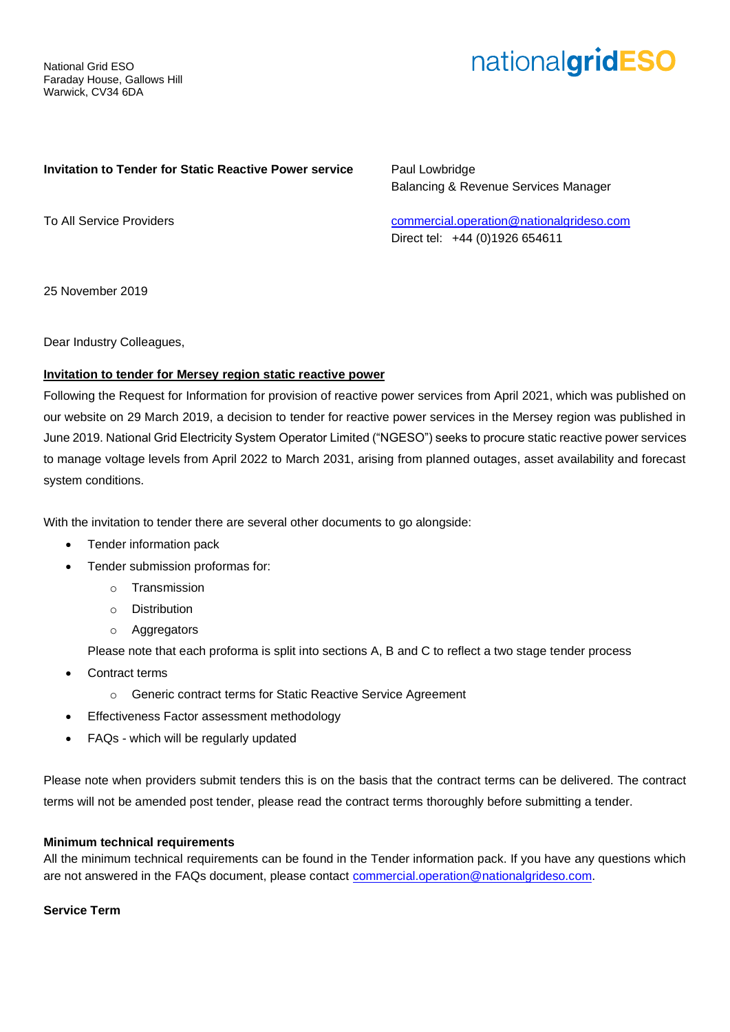National Grid ESO Faraday House, Gallows Hill Warwick, CV34 6DA

# nationalgridESO

#### **Invitation to Tender for Static Reactive Power service**

Paul Lowbridge Balancing & Revenue Services Manager

To All Service Providers

[commercial.operation@nationalgrideso.com](mailto:commercial.operation@nationalgrideso.com) Direct tel: +44 (0)1926 654611

25 November 2019

Dear Industry Colleagues,

## **Invitation to tender for Mersey region static reactive power**

Following the Request for Information for provision of reactive power services from April 2021, which was published on our website on 29 March 2019, a decision to tender for reactive power services in the Mersey region was published in June 2019. National Grid Electricity System Operator Limited ("NGESO") seeks to procure static reactive power services to manage voltage levels from April 2022 to March 2031, arising from planned outages, asset availability and forecast system conditions.

With the invitation to tender there are several other documents to go alongside:

- Tender information pack
- Tender submission proformas for:
	- o Transmission
	- o Distribution
	- o Aggregators

Please note that each proforma is split into sections A, B and C to reflect a two stage tender process

- Contract terms
	- o Generic contract terms for Static Reactive Service Agreement
- Effectiveness Factor assessment methodology
- FAQs which will be regularly updated

Please note when providers submit tenders this is on the basis that the contract terms can be delivered. The contract terms will not be amended post tender, please read the contract terms thoroughly before submitting a tender.

### **Minimum technical requirements**

All the minimum technical requirements can be found in the Tender information pack. If you have any questions which are not answered in the FAQs document, please contact [commercial.operation@nationalgrideso.com.](mailto:commercial.operation@nationalgrideso.com)

**Service Term**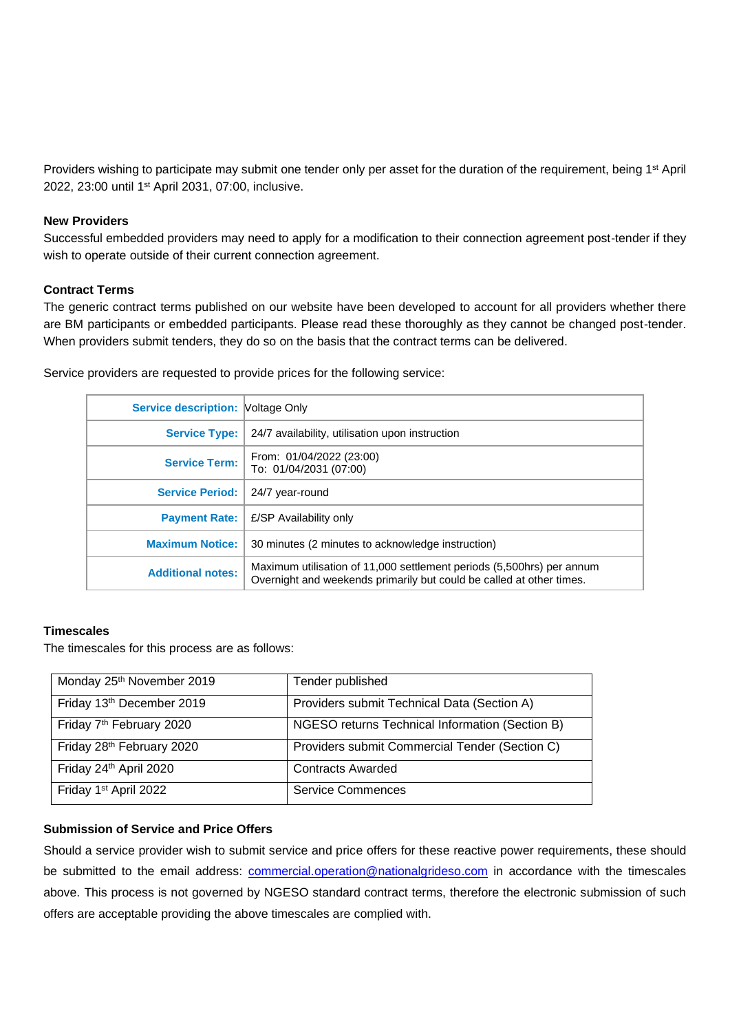Providers wishing to participate may submit one tender only per asset for the duration of the requirement, being 1<sup>st</sup> April 2022, 23:00 until 1st April 2031, 07:00, inclusive.

#### **New Providers**

Successful embedded providers may need to apply for a modification to their connection agreement post-tender if they wish to operate outside of their current connection agreement.

#### **Contract Terms**

The generic contract terms published on our website have been developed to account for all providers whether there are BM participants or embedded participants. Please read these thoroughly as they cannot be changed post-tender. When providers submit tenders, they do so on the basis that the contract terms can be delivered.

| <b>Service description: Voltage Only</b> |                                                                                                                                               |
|------------------------------------------|-----------------------------------------------------------------------------------------------------------------------------------------------|
| <b>Service Type:</b>                     | 24/7 availability, utilisation upon instruction                                                                                               |
| <b>Service Term:</b>                     | From: 01/04/2022 (23:00)<br>To: 01/04/2031 (07:00)                                                                                            |
| <b>Service Period:  </b>                 | 24/7 year-round                                                                                                                               |
| <b>Payment Rate:</b>                     | E/SP Availability only                                                                                                                        |
| <b>Maximum Notice:</b>                   | 30 minutes (2 minutes to acknowledge instruction)                                                                                             |
| <b>Additional notes:</b>                 | Maximum utilisation of 11,000 settlement periods (5,500hrs) per annum<br>Overnight and weekends primarily but could be called at other times. |

Service providers are requested to provide prices for the following service:

#### **Timescales**

The timescales for this process are as follows:

| Monday 25 <sup>th</sup> November 2019 | Tender published                                |
|---------------------------------------|-------------------------------------------------|
| Friday 13th December 2019             | Providers submit Technical Data (Section A)     |
| Friday 7 <sup>th</sup> February 2020  | NGESO returns Technical Information (Section B) |
| Friday 28th February 2020             | Providers submit Commercial Tender (Section C)  |
| Friday 24th April 2020                | <b>Contracts Awarded</b>                        |
| Friday 1 <sup>st</sup> April 2022     | <b>Service Commences</b>                        |

#### **Submission of Service and Price Offers**

Should a service provider wish to submit service and price offers for these reactive power requirements, these should be submitted to the email address: [commercial.operation@nationalgrideso.com](mailto:commercial.operation@nationalgrideso.com) in accordance with the timescales above. This process is not governed by NGESO standard contract terms, therefore the electronic submission of such offers are acceptable providing the above timescales are complied with.